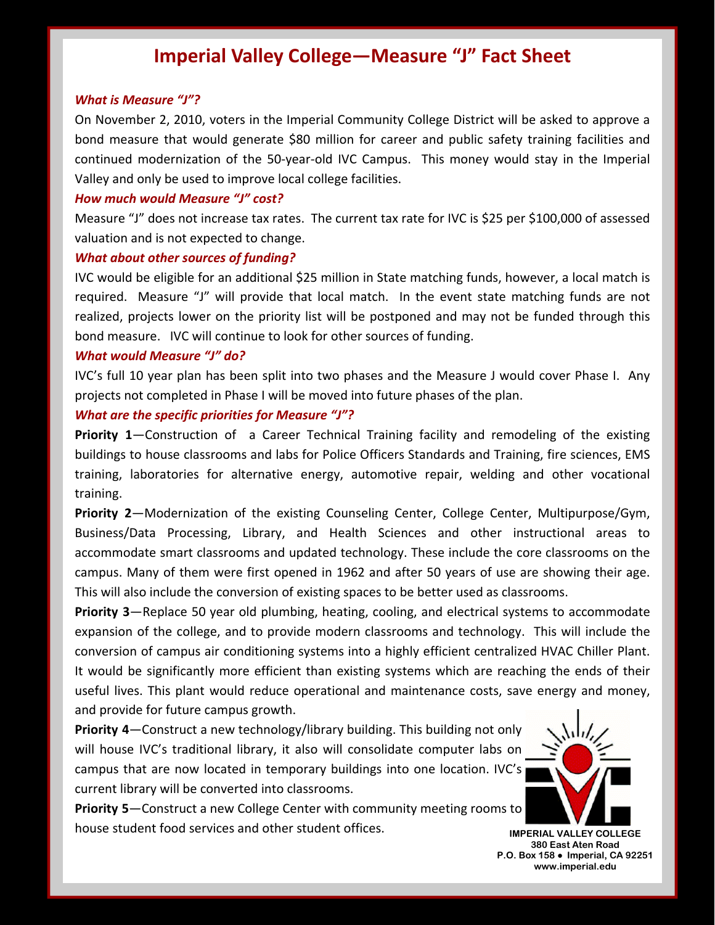# **Imperial Valley College—Measure "J" Fact Sheet**

#### *What is Measure "J"?*

On November 2, 2010, voters in the Imperial Community College District will be asked to approve a bond measure that would generate \$80 million for career and public safety training facilities and continued modernization of the 50‐year‐old IVC Campus. This money would stay in the Imperial Valley and only be used to improve local college facilities.

#### *How much would Measure "J" cost?*

Measure "J" does not increase tax rates. The current tax rate for IVC is \$25 per \$100,000 of assessed valuation and is not expected to change.

### *What about other sources of funding?*

IVC would be eligible for an additional \$25 million in State matching funds, however, a local match is required. Measure "J" will provide that local match. In the event state matching funds are not realized, projects lower on the priority list will be postponed and may not be funded through this bond measure. IVC will continue to look for other sources of funding.

## *What would Measure "J" do?*

IVC's full 10 year plan has been split into two phases and the Measure J would cover Phase I. Any projects not completed in Phase I will be moved into future phases of the plan.

### *What are the specific priorities for Measure "J"?*

**Priority 1**—Construction of a Career Technical Training facility and remodeling of the existing buildings to house classrooms and labs for Police Officers Standards and Training, fire sciences, EMS training, laboratories for alternative energy, automotive repair, welding and other vocational training.

**Priority 2**—Modernization of the existing Counseling Center, College Center, Multipurpose/Gym, Business/Data Processing, Library, and Health Sciences and other instructional areas to accommodate smart classrooms and updated technology. These include the core classrooms on the campus. Many of them were first opened in 1962 and after 50 years of use are showing their age. This will also include the conversion of existing spaces to be better used as classrooms.

**Priority 3**—Replace 50 year old plumbing, heating, cooling, and electrical systems to accommodate expansion of the college, and to provide modern classrooms and technology. This will include the conversion of campus air conditioning systems into a highly efficient centralized HVAC Chiller Plant. It would be significantly more efficient than existing systems which are reaching the ends of their useful lives. This plant would reduce operational and maintenance costs, save energy and money, and provide for future campus growth.

**Priority 4**—Construct a new technology/library building. This building not only will house IVC's traditional library, it also will consolidate computer labs on campus that are now located in temporary buildings into one location. IVC's current library will be converted into classrooms.

**Priority 5**—Construct a new College Center with community meeting rooms to house student food services and other student offices. **IMPERIAL VALLEY COLLEGE** 



**380 East Aten Road P.O. Box 158** ● **Imperial, CA 92251 www.imperial.edu**